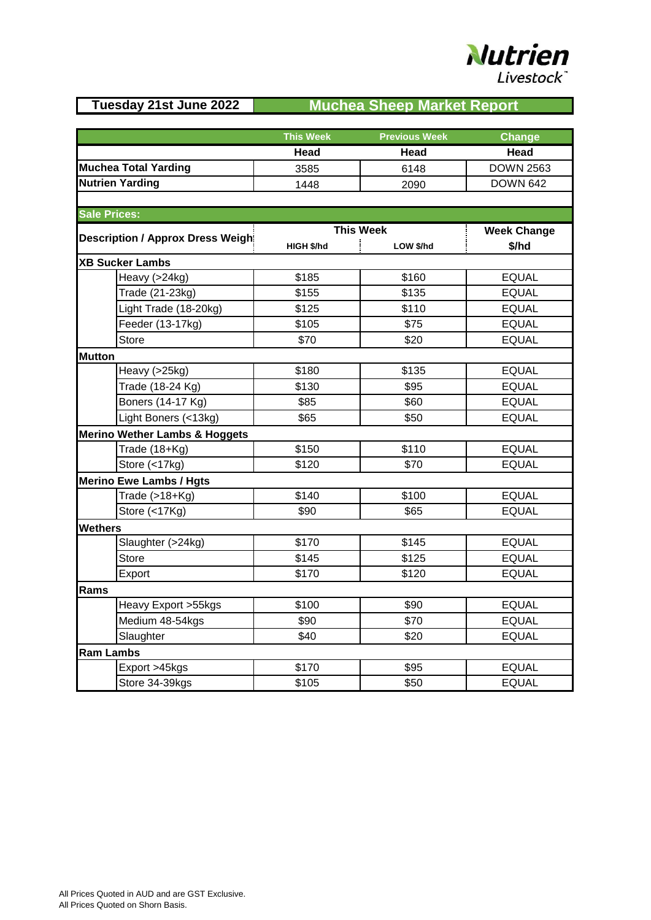## **Nutrien** Livestock

## **Tuesday 21st June 2022 Muchea Sheep Market Report**

|                                          | <b>This Week</b> | <b>Previous Week</b> | Change             |
|------------------------------------------|------------------|----------------------|--------------------|
|                                          | Head             | Head                 | Head               |
| Muchea Total Yarding                     | 3585             | 6148                 | <b>DOWN 2563</b>   |
| Nutrien Yarding                          | 1448             | 2090                 | <b>DOWN 642</b>    |
|                                          |                  |                      |                    |
| <b>Sale Prices:</b>                      |                  |                      |                    |
|                                          | <b>This Week</b> |                      | <b>Week Change</b> |
| <b>Description / Approx Dress Weight</b> | HIGH \$/hd       | LOW \$/hd            | \$/hd              |
| <b>XB Sucker Lambs</b>                   |                  |                      |                    |
| Heavy (>24kg)                            | \$185            | \$160                | <b>EQUAL</b>       |
| Trade (21-23kg)                          | \$155            | \$135                | <b>EQUAL</b>       |
| Light Trade (18-20kg)                    | \$125            | \$110                | <b>EQUAL</b>       |
| Feeder (13-17kg)                         | \$105            | \$75                 | <b>EQUAL</b>       |
| <b>Store</b>                             | \$70             | \$20                 | <b>EQUAL</b>       |
| <b>Mutton</b>                            |                  |                      |                    |
| Heavy (>25kg)                            | \$180            | \$135                | <b>EQUAL</b>       |
| Trade (18-24 Kg)                         | \$130            | \$95                 | <b>EQUAL</b>       |
| Boners (14-17 Kg)                        | \$85             | \$60                 | <b>EQUAL</b>       |
| Light Boners (<13kg)                     | \$65             | \$50                 | <b>EQUAL</b>       |
| <b>Merino Wether Lambs &amp; Hoggets</b> |                  |                      |                    |
| Trade (18+Kg)                            | \$150            | \$110                | <b>EQUAL</b>       |
| Store (<17kg)                            | \$120            | \$70                 | <b>EQUAL</b>       |
| <b>Merino Ewe Lambs / Hgts</b>           |                  |                      |                    |
| Trade $(>18+Kg)$                         | \$140            | \$100                | <b>EQUAL</b>       |
| Store (<17Kg)                            | \$90             | \$65                 | <b>EQUAL</b>       |
| <b>Wethers</b>                           |                  |                      |                    |
| Slaughter (>24kg)                        | \$170            | \$145                | <b>EQUAL</b>       |
| <b>Store</b>                             | \$145            | \$125                | <b>EQUAL</b>       |
| Export                                   | \$170            | \$120                | <b>EQUAL</b>       |
| Rams                                     |                  |                      |                    |
| Heavy Export > 5kgs                      | \$100            | \$90                 | <b>EQUAL</b>       |
| Medium 48-54kgs                          | \$90             | \$70                 | <b>EQUAL</b>       |
| Slaughter                                | \$40             | \$20                 | <b>EQUAL</b>       |
| <b>Ram Lambs</b>                         |                  |                      |                    |
| Export >45kgs                            | \$170            | \$95                 | <b>EQUAL</b>       |
| Store 34-39kgs                           | \$105            | \$50                 | <b>EQUAL</b>       |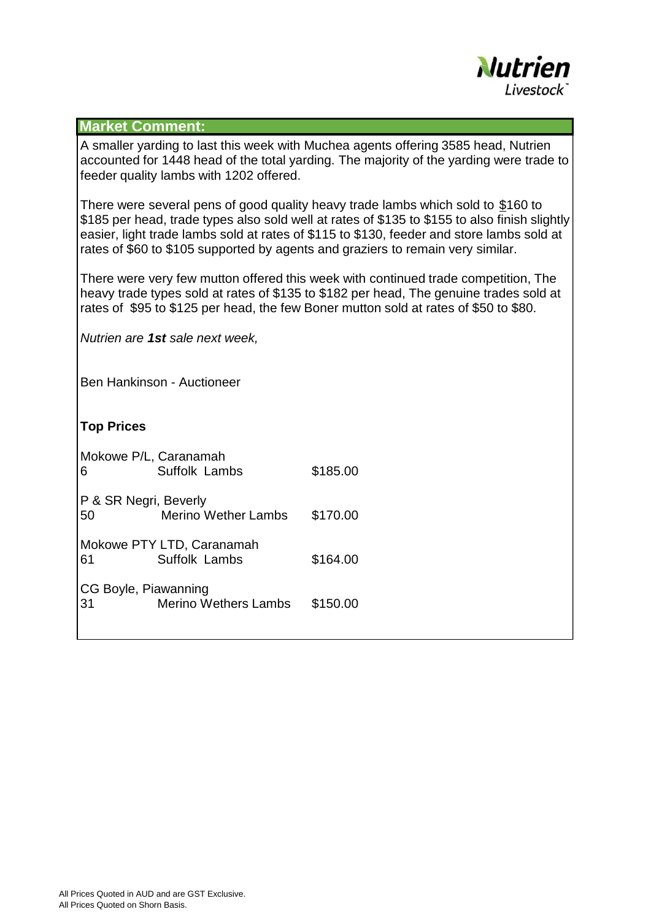

## **Market Comment:**

A smaller yarding to last this week with Muchea agents offering 3585 head, Nutrien accounted for 1448 head of the total yarding. The majority of the yarding were trade to feeder quality lambs with 1202 offered.

There were several pens of good quality heavy trade lambs which sold to \$160 to \$185 per head, trade types also sold well at rates of \$135 to \$155 to also finish slightly easier, light trade lambs sold at rates of \$115 to \$130, feeder and store lambs sold at rates of \$60 to \$105 supported by agents and graziers to remain very similar.

There were very few mutton offered this week with continued trade competition, The heavy trade types sold at rates of \$135 to \$182 per head, The genuine trades sold at rates of \$95 to \$125 per head, the few Boner mutton sold at rates of \$50 to \$80.

*Nutrien are 1st sale next week,*

Ben Hankinson - Auctioneer

## **Top Prices**

| Mokowe P/L, Caranamah<br>6 | Suffolk Lambs               | \$185.00 |  |
|----------------------------|-----------------------------|----------|--|
| P & SR Negri, Beverly      |                             |          |  |
| 50                         | <b>Merino Wether Lambs</b>  | \$170.00 |  |
| Mokowe PTY LTD, Caranamah  |                             |          |  |
| 61                         | Suffolk Lambs               | \$164.00 |  |
| CG Boyle, Piawanning       |                             |          |  |
| 31                         | <b>Merino Wethers Lambs</b> | \$150.00 |  |
|                            |                             |          |  |